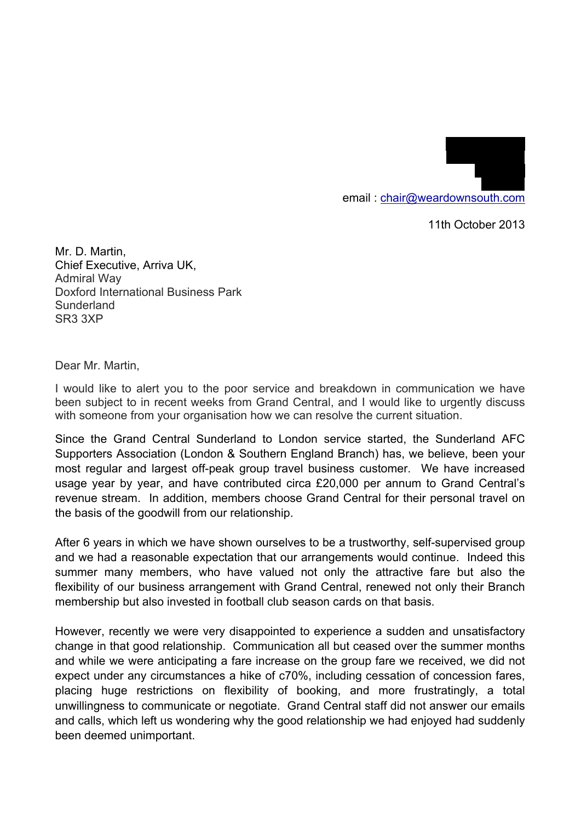email : chair@weardownsouth.com

11th October 2013

19 Laurel Drive Winchmore Hill

> LONDON N21 1LJ

Mr. D. Martin, Chief Executive, Arriva UK, Admiral Way Doxford International Business Park Sunderland SR3 3XP

Dear Mr. Martin,

I would like to alert you to the poor service and breakdown in communication we have been subject to in recent weeks from Grand Central, and I would like to urgently discuss with someone from your organisation how we can resolve the current situation.

Since the Grand Central Sunderland to London service started, the Sunderland AFC Supporters Association (London & Southern England Branch) has, we believe, been your most regular and largest off-peak group travel business customer. We have increased usage year by year, and have contributed circa £20,000 per annum to Grand Central's revenue stream. In addition, members choose Grand Central for their personal travel on the basis of the goodwill from our relationship.

After 6 years in which we have shown ourselves to be a trustworthy, self-supervised group and we had a reasonable expectation that our arrangements would continue. Indeed this summer many members, who have valued not only the attractive fare but also the flexibility of our business arrangement with Grand Central, renewed not only their Branch membership but also invested in football club season cards on that basis.

However, recently we were very disappointed to experience a sudden and unsatisfactory change in that good relationship. Communication all but ceased over the summer months and while we were anticipating a fare increase on the group fare we received, we did not expect under any circumstances a hike of c70%, including cessation of concession fares, placing huge restrictions on flexibility of booking, and more frustratingly, a total unwillingness to communicate or negotiate. Grand Central staff did not answer our emails and calls, which left us wondering why the good relationship we had enjoyed had suddenly been deemed unimportant.